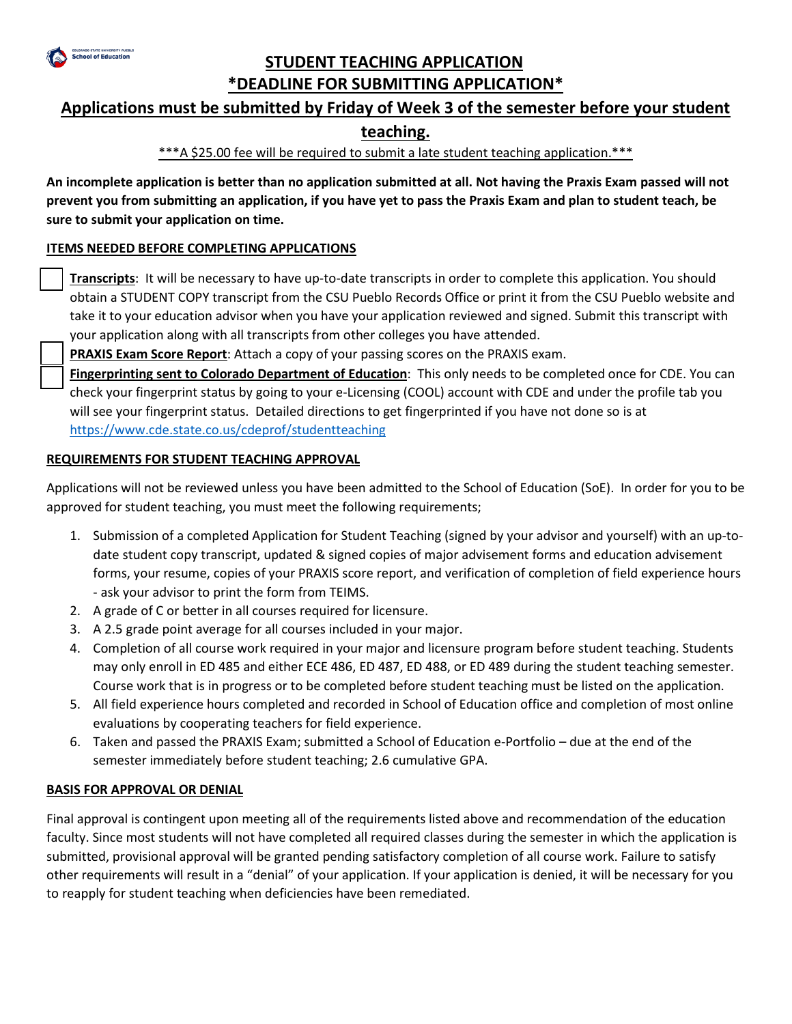

## **STUDENT TEACHING APPLICATION \*DEADLINE FOR SUBMITTING APPLICATION\***

## **Applications must be submitted by Friday of Week 3 of the semester before your student**

## **teaching.**

\*\*\*A \$25.00 fee will be required to submit a late student teaching application.\*\*\*

**An incomplete application is better than no application submitted at all. Not having the Praxis Exam passed will not prevent you from submitting an application, if you have yet to pass the Praxis Exam and plan to student teach, be sure to submit your application on time.** 

## **ITEMS NEEDED BEFORE COMPLETING APPLICATIONS**

 **Transcripts**: It will be necessary to have up-to-date transcripts in order to complete this application. You should obtain a STUDENT COPY transcript from the CSU Pueblo Records Office or print it from the CSU Pueblo website and take it to your education advisor when you have your application reviewed and signed. Submit this transcript with your application along with all transcripts from other colleges you have attended.

**PRAXIS Exam Score Report**: Attach a copy of your passing scores on the PRAXIS exam.

 **Fingerprinting sent to Colorado Department of Education**: This only needs to be completed once for CDE. You can check your fingerprint status by going to your e-Licensing (COOL) account with CDE and under the profile tab you will see your fingerprint status. Detailed directions to get fingerprinted if you have not done so is at https://www.cde.state.co.us/cdeprof/studentteaching

## **REQUIREMENTS FOR STUDENT TEACHING APPROVAL**

Applications will not be reviewed unless you have been admitted to the School of Education (SoE). In order for you to be approved for student teaching, you must meet the following requirements;

- 1. Submission of a completed Application for Student Teaching (signed by your advisor and yourself) with an up-todate student copy transcript, updated & signed copies of major advisement forms and education advisement forms, your resume, copies of your PRAXIS score report, and verification of completion of field experience hours - ask your advisor to print the form from TEIMS.
- 2. A grade of C or better in all courses required for licensure.
- 3. A 2.5 grade point average for all courses included in your major.
- 4. Completion of all course work required in your major and licensure program before student teaching. Students may only enroll in ED 485 and either ECE 486, ED 487, ED 488, or ED 489 during the student teaching semester. Course work that is in progress or to be completed before student teaching must be listed on the application.
- 5. All field experience hours completed and recorded in School of Education office and completion of most online evaluations by cooperating teachers for field experience.
- 6. Taken and passed the PRAXIS Exam; submitted a School of Education e-Portfolio due at the end of the semester immediately before student teaching; 2.6 cumulative GPA.

#### **BASIS FOR APPROVAL OR DENIAL**

Final approval is contingent upon meeting all of the requirements listed above and recommendation of the education faculty. Since most students will not have completed all required classes during the semester in which the application is submitted, provisional approval will be granted pending satisfactory completion of all course work. Failure to satisfy other requirements will result in a "denial" of your application. If your application is denied, it will be necessary for you to reapply for student teaching when deficiencies have been remediated.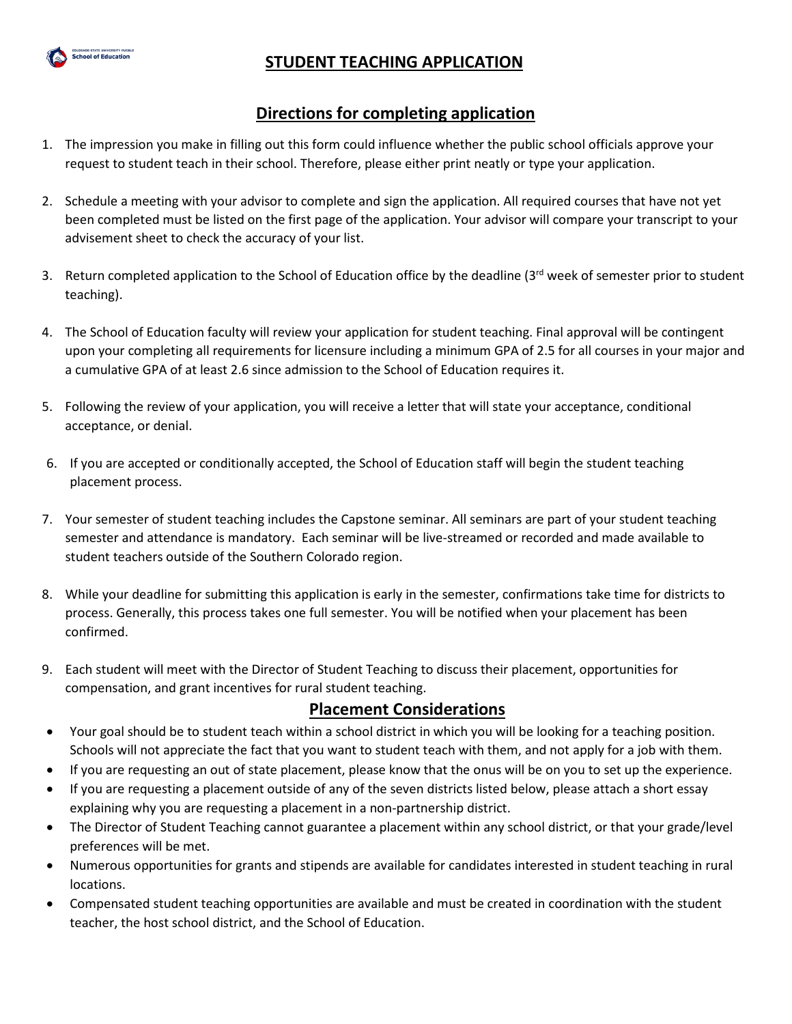

# **STUDENT TEACHING APPLICATION**

## **Directions for completing application**

- 1. The impression you make in filling out this form could influence whether the public school officials approve your request to student teach in their school. Therefore, please either print neatly or type your application.
- 2. Schedule a meeting with your advisor to complete and sign the application. All required courses that have not yet been completed must be listed on the first page of the application. Your advisor will compare your transcript to your advisement sheet to check the accuracy of your list.
- 3. Return completed application to the School of Education office by the deadline ( $3^{rd}$  week of semester prior to student teaching).
- 4. The School of Education faculty will review your application for student teaching. Final approval will be contingent upon your completing all requirements for licensure including a minimum GPA of 2.5 for all courses in your major and a cumulative GPA of at least 2.6 since admission to the School of Education requires it.
- 5. Following the review of your application, you will receive a letter that will state your acceptance, conditional acceptance, or denial.
- 6. If you are accepted or conditionally accepted, the School of Education staff will begin the student teaching placement process.
- 7. Your semester of student teaching includes the Capstone seminar. All seminars are part of your student teaching semester and attendance is mandatory. Each seminar will be live-streamed or recorded and made available to student teachers outside of the Southern Colorado region.
- 8. While your deadline for submitting this application is early in the semester, confirmations take time for districts to process. Generally, this process takes one full semester. You will be notified when your placement has been confirmed.
- 9. Each student will meet with the Director of Student Teaching to discuss their placement, opportunities for compensation, and grant incentives for rural student teaching.

## **Placement Considerations**

- Your goal should be to student teach within a school district in which you will be looking for a teaching position. Schools will not appreciate the fact that you want to student teach with them, and not apply for a job with them.
- If you are requesting an out of state placement, please know that the onus will be on you to set up the experience.
- If you are requesting a placement outside of any of the seven districts listed below, please attach a short essay explaining why you are requesting a placement in a non-partnership district.
- The Director of Student Teaching cannot guarantee a placement within any school district, or that your grade/level preferences will be met.
- Numerous opportunities for grants and stipends are available for candidates interested in student teaching in rural locations.
- Compensated student teaching opportunities are available and must be created in coordination with the student teacher, the host school district, and the School of Education.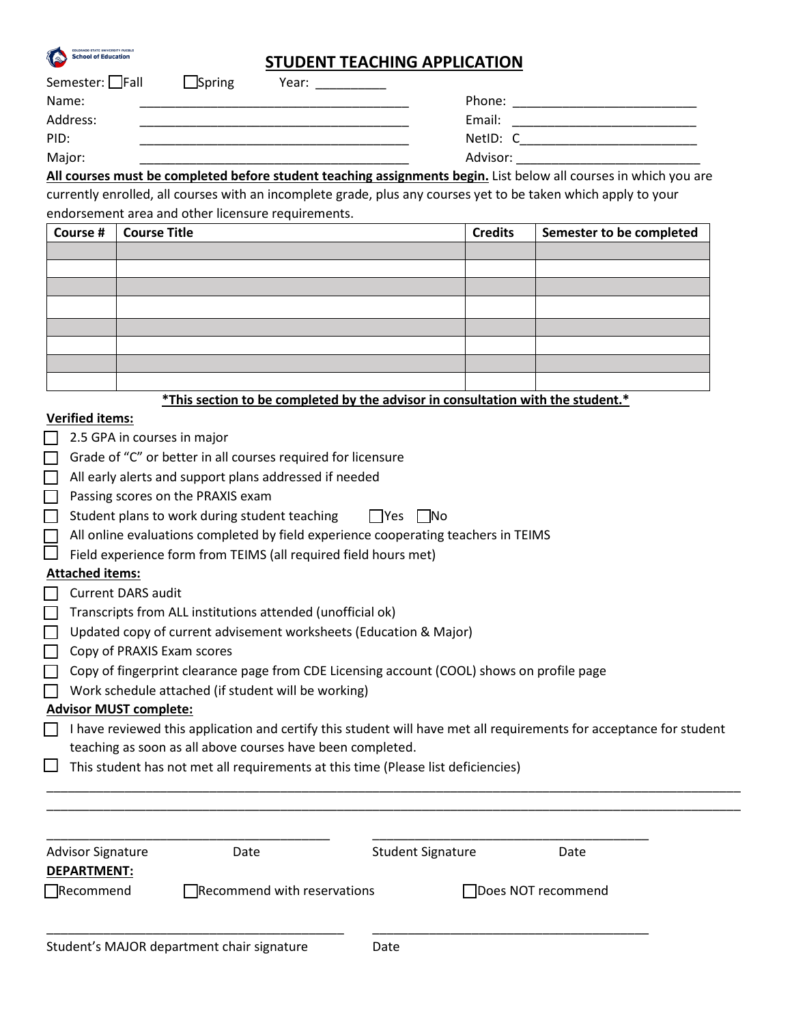

| Semester: $\Box$ Fall | $\Box$ Spring | Year: |          |  |
|-----------------------|---------------|-------|----------|--|
| Name:                 |               |       | Phone:   |  |
| Address:              |               |       | Email:   |  |
| PID:                  |               |       | NetID: C |  |
| Major:                |               |       | Advisor: |  |

**All courses must be completed before student teaching assignments begin.** List below all courses in which you are currently enrolled, all courses with an incomplete grade, plus any courses yet to be taken which apply to your endorsement area and other licensure requirements.

| Course # | <b>Course Title</b> | <b>Credits</b> | Semester to be completed |
|----------|---------------------|----------------|--------------------------|
|          |                     |                |                          |
|          |                     |                |                          |
|          |                     |                |                          |
|          |                     |                |                          |
|          |                     |                |                          |
|          |                     |                |                          |
|          |                     |                |                          |
|          |                     |                |                          |

**\*This section to be completed by the advisor in consultation with the student.\***

#### **Verified items:**

**COLORADO STATE UNIVERSITY PUEBLO**<br>School of Education

| 2.5 GPA in courses in major |  |  |
|-----------------------------|--|--|
|-----------------------------|--|--|

- $\Box$  Grade of "C" or better in all courses required for licensure
- $\Box$  All early alerts and support plans addressed if needed
- $\Box$  Passing scores on the PRAXIS exam

 $\Box$  Student plans to work during student teaching  $\Box$  Yes  $\Box$  No

- All online evaluations completed by field experience cooperating teachers in TEIMS
- $\Box$  Field experience form from TEIMS (all required field hours met)

#### **Attached items:**

- $\Box$  Transcripts from ALL institutions attended (unofficial ok)
- $\Box$  Updated copy of current advisement worksheets (Education & Major)
- $\Box$  Copy of PRAXIS Exam scores
- Copy of fingerprint clearance page from CDE Licensing account (COOL) shows on profile page
- $\Box$  Work schedule attached (if student will be working)

#### **Advisor MUST complete:**

| $\Box$ I have reviewed this application and certify this student will have met all requirements for acceptance for student |
|----------------------------------------------------------------------------------------------------------------------------|
| teaching as soon as all above courses have been completed.                                                                 |

\_\_\_\_\_\_\_\_\_\_\_\_\_\_\_\_\_\_\_\_\_\_\_\_\_\_\_\_\_\_\_\_\_\_\_\_\_\_\_\_\_\_\_\_\_\_\_\_\_\_\_\_\_\_\_\_\_\_\_\_\_\_\_\_\_\_\_\_\_\_\_\_\_\_\_\_\_\_\_\_\_\_\_\_\_\_\_\_\_\_\_\_\_\_\_\_\_\_ \_\_\_\_\_\_\_\_\_\_\_\_\_\_\_\_\_\_\_\_\_\_\_\_\_\_\_\_\_\_\_\_\_\_\_\_\_\_\_\_\_\_\_\_\_\_\_\_\_\_\_\_\_\_\_\_\_\_\_\_\_\_\_\_\_\_\_\_\_\_\_\_\_\_\_\_\_\_\_\_\_\_\_\_\_\_\_\_\_\_\_\_\_\_\_\_\_\_

| This student has not met all requirements at this time (Please list deficiencies) |  |
|-----------------------------------------------------------------------------------|--|
|                                                                                   |  |

| <b>DEPARTMENT:</b>                         |
|--------------------------------------------|
| $\Box$ Recommend                           |
| Student's MAJOR department chair signature |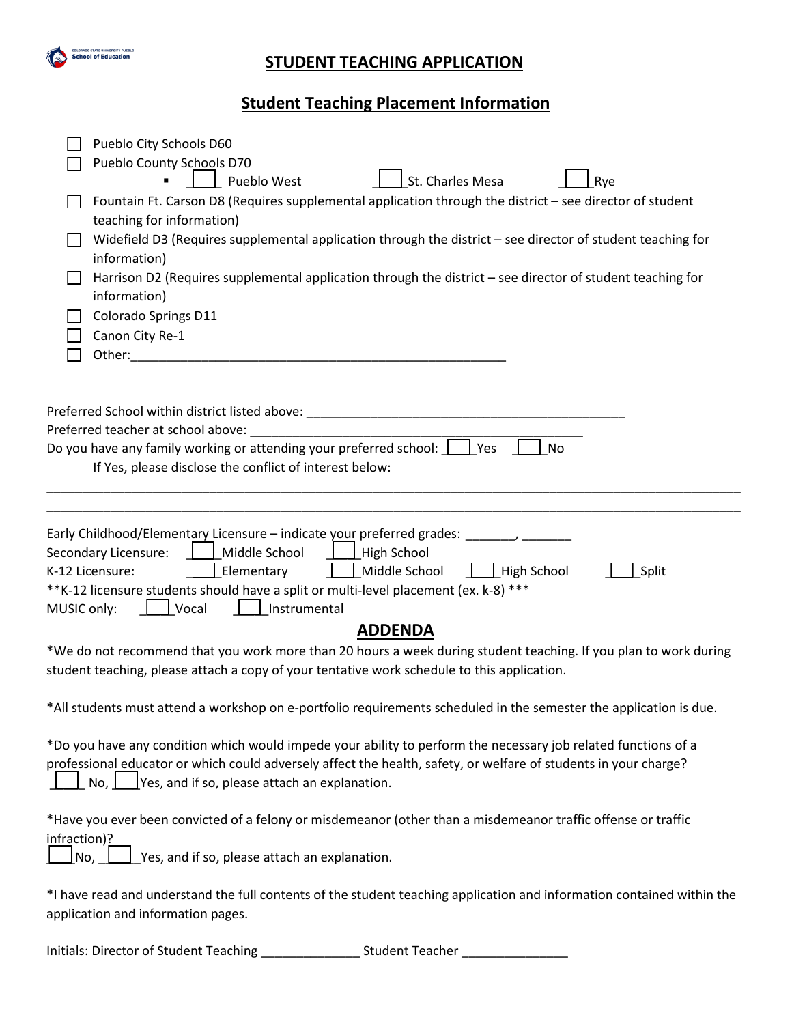

# **STUDENT TEACHING APPLICATION**

# **Student Teaching Placement Information**

|              | Pueblo City Schools D60<br>Pueblo County Schools D70                                                                                                                                                                                                                                                                                                          |
|--------------|---------------------------------------------------------------------------------------------------------------------------------------------------------------------------------------------------------------------------------------------------------------------------------------------------------------------------------------------------------------|
|              | St. Charles Mesa<br>Pueblo West<br>Rye<br>Fountain Ft. Carson D8 (Requires supplemental application through the district - see director of student                                                                                                                                                                                                            |
|              | teaching for information)                                                                                                                                                                                                                                                                                                                                     |
|              | Widefield D3 (Requires supplemental application through the district - see director of student teaching for                                                                                                                                                                                                                                                   |
|              | information)                                                                                                                                                                                                                                                                                                                                                  |
|              | Harrison D2 (Requires supplemental application through the district - see director of student teaching for<br>information)                                                                                                                                                                                                                                    |
|              | Colorado Springs D11                                                                                                                                                                                                                                                                                                                                          |
|              | Canon City Re-1                                                                                                                                                                                                                                                                                                                                               |
|              | Other: and the state of the state of the state of the state of the state of the state of the state of the state of the state of the state of the state of the state of the state of the state of the state of the state of the                                                                                                                                |
|              |                                                                                                                                                                                                                                                                                                                                                               |
|              | Preferred School within district listed above: _________________________________                                                                                                                                                                                                                                                                              |
|              |                                                                                                                                                                                                                                                                                                                                                               |
|              | Do you have any family working or attending your preferred school: $\Box$ Yes<br>No<br>If Yes, please disclose the conflict of interest below:                                                                                                                                                                                                                |
|              |                                                                                                                                                                                                                                                                                                                                                               |
|              |                                                                                                                                                                                                                                                                                                                                                               |
| MUSIC only:  | Early Childhood/Elementary Licensure – indicate your preferred grades: _______, _<br>Secondary Licensure:<br>Middle School<br>High School<br>Middle School<br>Elementary<br>High School<br>Split<br>K-12 Licensure:<br>**K-12 licensure students should have a split or multi-level placement (ex. k-8) ***<br>$\overline{\phantom{a}}$ Vocal<br>Instrumental |
|              | <b>ADDENDA</b>                                                                                                                                                                                                                                                                                                                                                |
|              | *We do not recommend that you work more than 20 hours a week during student teaching. If you plan to work during<br>student teaching, please attach a copy of your tentative work schedule to this application.                                                                                                                                               |
|              | *All students must attend a workshop on e-portfolio requirements scheduled in the semester the application is due.                                                                                                                                                                                                                                            |
|              | *Do you have any condition which would impede your ability to perform the necessary job related functions of a<br>professional educator or which could adversely affect the health, safety, or welfare of students in your charge?<br>No, $\Box$ Yes, and if so, please attach an explanation.                                                                |
| infraction)? | *Have you ever been convicted of a felony or misdemeanor (other than a misdemeanor traffic offense or traffic<br>Yes, and if so, please attach an explanation.<br>No,                                                                                                                                                                                         |
|              |                                                                                                                                                                                                                                                                                                                                                               |
|              | *I have read and understand the full contents of the student teaching application and information contained within the<br>application and information pages.                                                                                                                                                                                                  |

Initials: Director of Student Teaching \_\_\_\_\_\_\_\_\_\_\_\_\_\_ Student Teacher \_\_\_\_\_\_\_\_\_\_\_\_\_\_\_